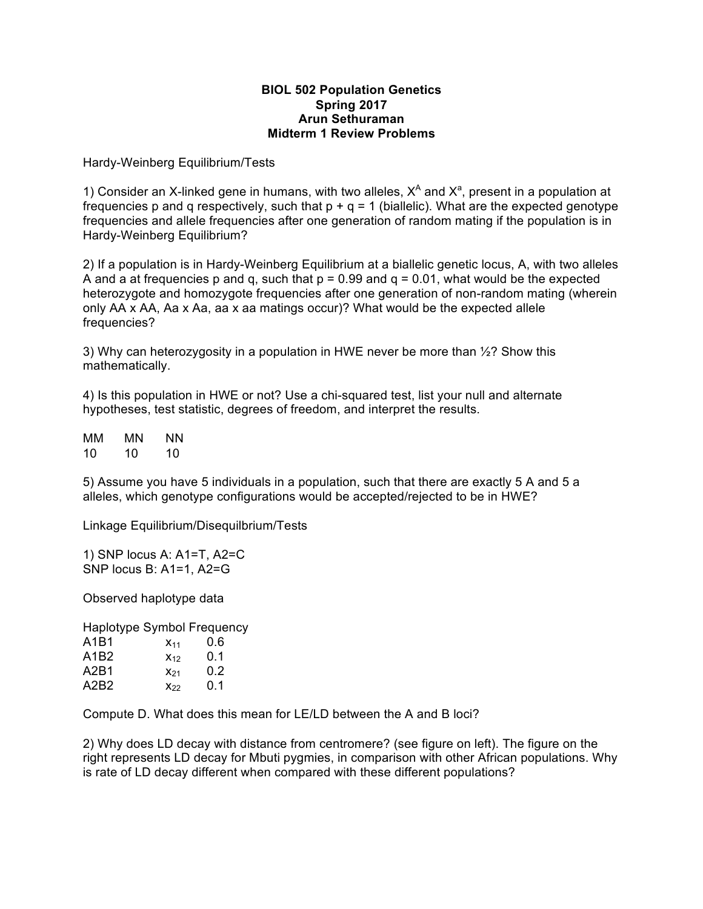## **BIOL 502 Population Genetics Spring 2017 Arun Sethuraman Midterm 1 Review Problems**

Hardy-Weinberg Equilibrium/Tests

1) Consider an X-linked gene in humans, with two alleles,  $X^A$  and  $X^a$ , present in a population at frequencies p and q respectively, such that  $p + q = 1$  (biallelic). What are the expected genotype frequencies and allele frequencies after one generation of random mating if the population is in Hardy-Weinberg Equilibrium?

2) If a population is in Hardy-Weinberg Equilibrium at a biallelic genetic locus, A, with two alleles A and a at frequencies p and q, such that  $p = 0.99$  and  $q = 0.01$ , what would be the expected heterozygote and homozygote frequencies after one generation of non-random mating (wherein only AA x AA, Aa x Aa, aa x aa matings occur)? What would be the expected allele frequencies?

3) Why can heterozygosity in a population in HWE never be more than  $\frac{1}{2}$ ? Show this mathematically.

4) Is this population in HWE or not? Use a chi-squared test, list your null and alternate hypotheses, test statistic, degrees of freedom, and interpret the results.

MM MN NN 10 10 10

5) Assume you have 5 individuals in a population, such that there are exactly 5 A and 5 a alleles, which genotype configurations would be accepted/rejected to be in HWE?

Linkage Equilibrium/Disequilbrium/Tests

1) SNP locus A: A1=T, A2=C SNP locus B: A1=1, A2=G

Observed haplotype data

Haplotype Symbol Frequency A1B1  $x_{11}$  0.6

| A1B2 | $X_{12}$ | 0.1           |
|------|----------|---------------|
| A2B1 | $X_{21}$ | $0.2^{\circ}$ |
| A2B2 | $X_{22}$ | 0.1           |

Compute D. What does this mean for LE/LD between the A and B loci?

2) Why does LD decay with distance from centromere? (see figure on left). The figure on the right represents LD decay for Mbuti pygmies, in comparison with other African populations. Why is rate of LD decay different when compared with these different populations?